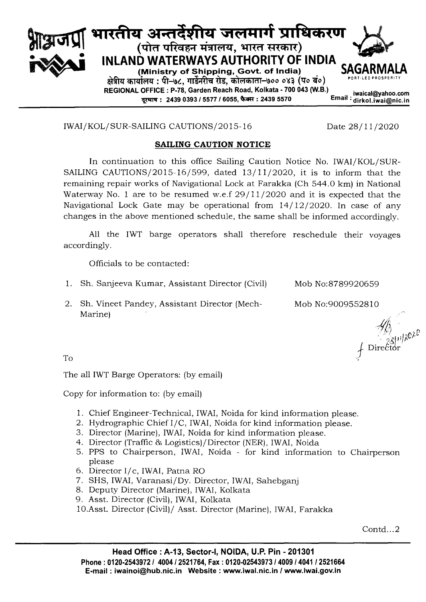

IWAI/KOL/SUR-SAILING CAUTIONS/2015-16

## Date  $28/11/2020$

## **SAILING CAUTION NOTICE**

In continuation to this office Sailing Caution Notice No. IWAI/KOL/SUR-SAILING CAUTIONS/2015-16/599, dated  $13/11/2020$ , it is to inform that the remaining repair works of Navigational Lock at Farakka (Ch 544.0 km) in National Waterway No. 1 are to be resumed w.e.f  $29/11/2020$  and it is expected that the Navigational Lock Gate may be operational from  $14/12/2020$ . In case of any changes in the above mentioned schedule, the same shall be informed accordingly.

All the IWT barge operators shall therefore reschedule their voyages accordingly.

Officials to be contacted:

- 1. Sh. Sanjeeva Kumar, Assistant Director (Civil)
- 2. Sh. Vineet Pandey, Assistant Director (Mech-Marine)

Mob No:8789920659 Mob No:9009552810

 $\frac{\sqrt{10}}{23}$ <br>Director

To

The all IWT Barge Operators: (by email)

Copy for information to: (by email)

- 1. Chief Engineer-Technical, IWAI, Noida for kind information please.
- 2. Hydrographic Chief I/C, IWAI, Noida for kind information please.
- 3. Director (Marine), IWAI, Noida for kind information please.
- 4. Director (Traffic & Logistics)/Director (NER), IWAI, Noida
- 5. PPS to Chairperson, IWAI, Noida for kind information to Chairperson please
- 6. Director I/c, IWAI, Patna RO
- 7. SHS, IWAI, Varanasi/Dy. Director, IWAI, Sahebganj
- 8. Deputy Director (Marine), IWAI, Kolkata
- 9. Asst. Director (Civil), IWAI, Kolkata
- 10.Asst. Director (Civil)/ Asst. Director (Marine), IWAI, Farakka

Contd...2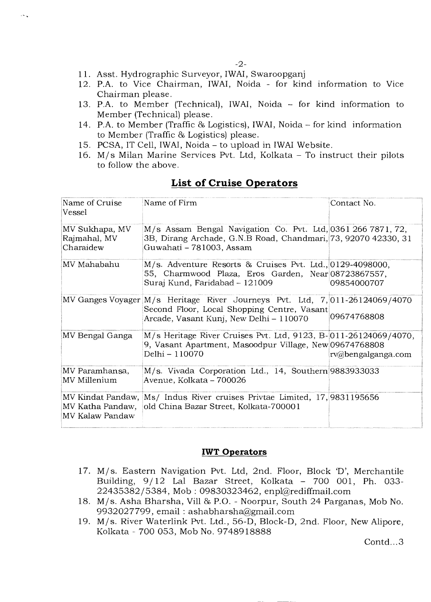- 11. Asst. Hydrographic Surveyor, IWAI, Swaroopganj
- 12. P.A. to Vice Chairman, IWAI, Noida for kind information to Vice Chairman please.
- 13. P.A. to Member (Technical), IWAI, Noida for kind information to Member (Technical) please.
- 14. P.A. to Member (Traffic & Logistics), IWAI, Noida for kind information to Member (Traffic & Logistics) please.
- 15. PCSA, IT Cell, IWAI, Noida to upload in IWAI Website.
- 16. M/s Milan Marine Services Pvt. Ltd, Kolkata To instruct their pilots to follow the above.

| Name of Cruise<br>Vessel                    | Name of Firm                                                                                                                                                          | Contact No.        |
|---------------------------------------------|-----------------------------------------------------------------------------------------------------------------------------------------------------------------------|--------------------|
| MV Sukhapa, MV<br>Rajmahal, MV<br>Charaidew | M/s Assam Bengal Navigation Co. Pvt. Ltd, 0361 266 7871, 72,<br>3B, Dirang Archade, G.N.B Road, Chandmari, 73, 92070 42330, 31<br>Guwahati - 781003, Assam            |                    |
| MV Mahabahu!                                | M/s. Adventure Resorts & Cruises Pvt. Ltd., 0129-4098000,<br>55, Charmwood Plaza, Eros Garden, Near 08723867557,<br>Suraj Kund, Faridabad - 121009                    | 09854000707        |
|                                             | MV Ganges Voyager M/s Heritage River Journeys Pvt. Ltd, 7,011-26124069/4070<br>Second Floor, Local Shopping Centre, Vasant<br>Arcade, Vasant Kunj, New Delhi - 110070 | 09674768808        |
| MV Bengal Ganga                             | M/s Heritage River Cruises Pvt. Ltd, 9123, B-011-26124069/4070,<br>9, Vasant Apartment, Masoodpur Village, New 09674768808<br>Delhi - 110070                          | rv@bengalganga.com |
| MV Paramhansa,<br>MV Millenium              | M/s. Vivada Corporation Ltd., 14, Southern 9883933033<br>Avenue, Kolkata – 700026                                                                                     |                    |
| MV Kalaw Pandaw                             | MV Kindat Pandaw, Ms/ Indus River cruises Privtae Limited, 17,9831195656<br>MV Katha Pandaw, old China Bazar Street, Kolkata-700001                                   |                    |

## **List of Cruise Operators**

## **IWT Operators**

- 17. M/s. Eastern Navigation Pvt. Ltd, 2nd. Floor, Block 'D', Merchantile Building, 9/12 Lal Bazar Street, Kolkata - 700 001, Ph. 033-22435382/5384, Mob : 09830323462, enpl@rediffmail.com
- 18. M/s. Asha Bharsha, Vill & P.O. Noorpur, South 24 Parganas, Mob No. 9932027799, email : ashabharsha@gmail.com
- 19. M/s. River Waterlink Pvt. Ltd., 56-D, Block-D, 2nd. Floor, New Alipore, Kolkata - 700 053, Mob No. 9748918888

Contd...3